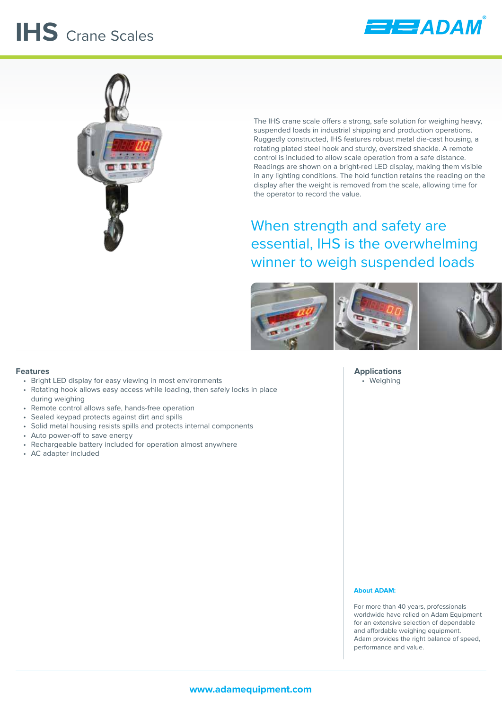## **IHS** Crane Scales





The IHS crane scale offers a strong, safe solution for weighing heavy, suspended loads in industrial shipping and production operations. Ruggedly constructed, IHS features robust metal die-cast housing, a rotating plated steel hook and sturdy, oversized shackle. A remote control is included to allow scale operation from a safe distance. Readings are shown on a bright-red LED display, making them visible in any lighting conditions. The hold function retains the reading on the display after the weight is removed from the scale, allowing time for the operator to record the value.

When strength and safety are essential, IHS is the overwhelming winner to weigh suspended loads



**Features**

- Bright LED display for easy viewing in most environments
- Rotating hook allows easy access while loading, then safely locks in place during weighing
- Remote control allows safe, hands-free operation
- Sealed keypad protects against dirt and spills
- Solid metal housing resists spills and protects internal components
- Auto power-off to save energy
- Rechargeable battery included for operation almost anywhere
- AC adapter included

**Applications** • Weighing

## **About ADAM:**

For more than 40 years, professionals worldwide have relied on Adam Equipment for an extensive selection of dependable and affordable weighing equipment. Adam provides the right balance of speed, performance and value.